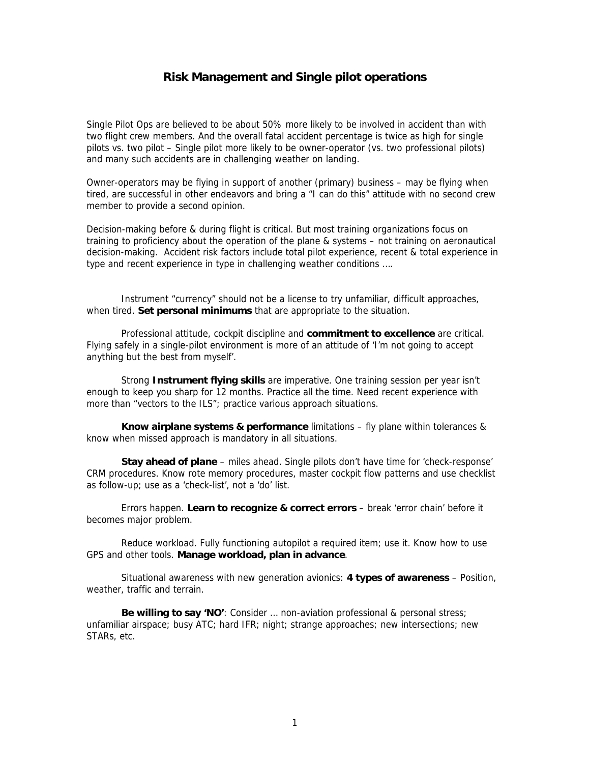## **Risk Management and Single pilot operations**

Single Pilot Ops are believed to be about 50% more likely to be involved in accident than with two flight crew members. And the overall fatal accident percentage is twice as high for single pilots vs. two pilot – Single pilot more likely to be owner-operator (vs. two professional pilots) and many such accidents are in challenging weather on landing.

Owner-operators may be flying in support of another (primary) business – may be flying when tired, are successful in other endeavors and bring a "I can do this" attitude with no second crew member to provide a second opinion.

Decision-making before & during flight is critical. But most training organizations focus on training to proficiency about the operation of the plane & systems – not training on aeronautical decision-making. Accident risk factors include total pilot experience, recent & total experience in type and recent experience in type in challenging weather conditions ….

Instrument "currency" should not be a license to try unfamiliar, difficult approaches, when tired. **Set personal minimums** that are appropriate to the situation.

Professional attitude, cockpit discipline and **commitment to excellence** are critical. Flying safely in a single-pilot environment is more of an attitude of 'I'm not going to accept anything but the best from myself'.

 Strong **Instrument flying skills** are imperative. One training session per year isn't enough to keep you sharp for 12 months. Practice all the time. Need recent experience with more than "vectors to the ILS"; practice various approach situations.

**Know airplane systems & performance** limitations – fly plane within tolerances & know when missed approach is mandatory in all situations.

**Stay ahead of plane** – miles ahead. Single pilots don't have time for 'check-response' CRM procedures. Know rote memory procedures, master cockpit flow patterns and use checklist as follow-up; use as a 'check-list', not a 'do' list.

 Errors happen. **Learn to recognize & correct errors** – break 'error chain' before it becomes major problem.

Reduce workload. Fully functioning autopilot a required item; use it. Know how to use GPS and other tools. **Manage workload, plan in advance**.

Situational awareness with new generation avionics: **4 types of awareness** – Position, weather, traffic and terrain.

**Be willing to say 'NO'**: Consider … non-aviation professional & personal stress; unfamiliar airspace; busy ATC; hard IFR; night; strange approaches; new intersections; new STARs, etc.